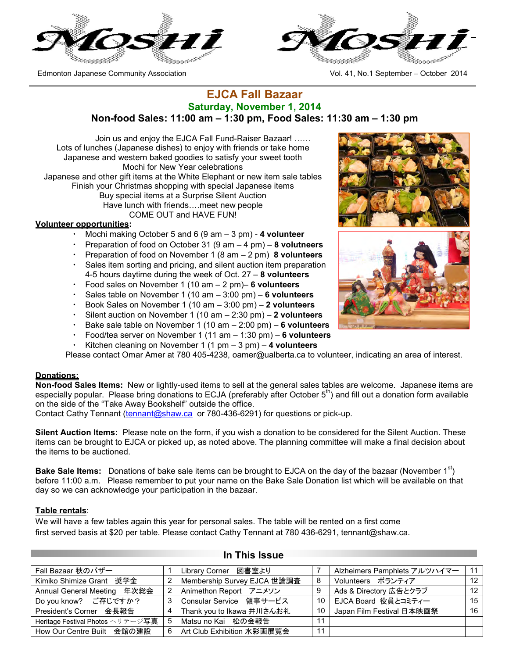

Edmonton Japanese Community Association Vol. 41, No.1 September – October 2014



## **EJCA Fall Bazaar Saturday, November 1, 2014 Non-food Sales: 11:00 am – 1:30 pm, Food Sales: 11:30 am – 1:30 pm**

Join us and enjoy the EJCA Fall Fund-Raiser Bazaar! …… Lots of lunches (Japanese dishes) to enjoy with friends or take home Japanese and western baked goodies to satisfy your sweet tooth Mochi for New Year celebrations Japanese and other gift items at the White Elephant or new item sale tables Finish your Christmas shopping with special Japanese items Buy special items at a Surprise Silent Auction Have lunch with friends….meet new people COME OUT and HAVE FUN!

### **Volunteer opportunities:**

- Mochi making October 5 and 6 (9 am 3 pm) 4 volunteer
- ・ Preparation of food on October 31 (9 am 4 pm) **8 volutneers**
- ・ Preparation of food on November 1 (8 am 2 pm) **8 volunteers**
- Sales item sorting and pricing, and silent auction item preparation 4-5 hours daytime during the week of Oct. 27 – **8 volunteers**
- ・ Food sales on November 1 (10 am 2 pm)– **6 volunteers**
- Sales table on November 1 (10 am 3:00 pm) 6 volunteers
- ・ Book Sales on November 1 (10 am 3:00 pm) **2 volunteers**
- Silent auction on November 1 (10 am 2:30 pm) 2 volunteers
- ・ Bake sale table on November 1 (10 am 2:00 pm) **6 volunteers**
- ・ Food/tea server on November 1 (11 am 1:30 pm) **6 volunteers**
- Kitchen cleaning on November 1 (1 pm 3 pm) 4 volunteers

Please contact Omar Amer at 780 405-4238, oamer@ualberta.ca to volunteer, indicating an area of interest.

### **Donations:**

**Non-food Sales Items:** New or lightly-used items to sell at the general sales tables are welcome. Japanese items are especially popular. Please bring donations to ECJA (preferably after October 5<sup>th</sup>) and fill out a donation form available on the side of the "Take Away Bookshelf" outside the office.

Contact Cathy Tennant (tennant@shaw.ca or 780-436-6291) for questions or pick-up.

**Silent Auction Items:** Please note on the form, if you wish a donation to be considered for the Silent Auction. These items can be brought to EJCA or picked up, as noted above. The planning committee will make a final decision about the items to be auctioned.

**Bake Sale Items:** Donations of bake sale items can be brought to EJCA on the day of the bazaar (November 1<sup>st</sup>) before 11:00 a.m. Please remember to put your name on the Bake Sale Donation list which will be available on that day so we can acknowledge your participation in the bazaar.

### **Table rentals**:

We will have a few tables again this year for personal sales. The table will be rented on a first come first served basis at \$20 per table. Please contact Cathy Tennant at 780 436-6291, tennant@shaw.ca.

| Fall Bazaar 秋のバザー                    |   | Library Corner 図書室より        |    | Alzheimers Pamphlets アルツハイマー | 11              |
|--------------------------------------|---|-----------------------------|----|------------------------------|-----------------|
| Kimiko Shimize Grant 奨学金             |   | Membership Survey EJCA 世論調査 | 8  | Volunteers ボランティア            | 12 <sup>7</sup> |
| Annual General Meeting 年次総会          | 2 | Animethon Report アニメソン      | 9  | Ads & Directory 広告とクラブ       | 12 <sup>2</sup> |
| Do you know? ご存じですか?                 | 3 | Consular Service 領事サービス     | 10 | EJCA Board 役員とコミティー          | 15              |
| President's Corner 会長報告              | 4 | Thank you to Ikawa 井川さんお礼   | 10 | Japan Film Festival 日本映画祭    | 16              |
| Heritage Festival Photos ヘリテージ写真   5 |   | Matsu no Kai 松の会報告          | 11 |                              |                 |
| How Our Centre Built 会館の建設           | 6 | Art Club Exhibition 水彩画展覧会  | 11 |                              |                 |

### **In This Issue**



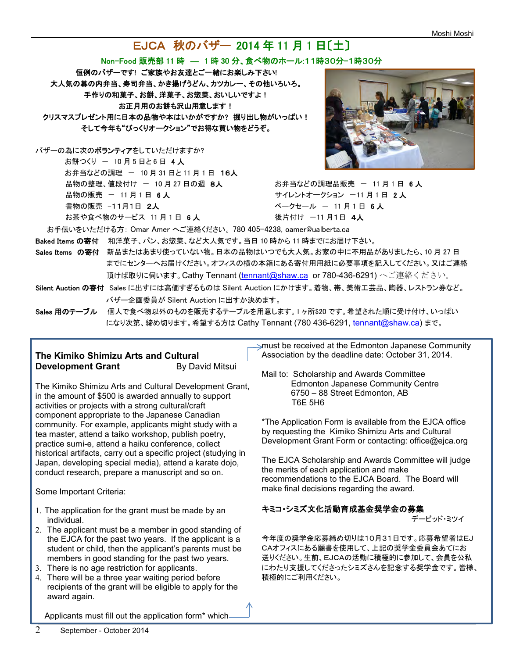# EJCA 秋のバザー 2014 年 11 月 1 日〔土〕

### Non-Food 販売部 11 時 ― 1 時 30 分、食べ物のホール:11時30分-1時30分

恒例のバザーです! ご家族やお友達とご一緒にお楽しみ下さい! 大人気の幕の内弁当、寿司弁当、かき揚げうどん、カツカレー、その他いろいろ。 手作りの和菓子、お餅、洋菓子、お惣菜、おいしいですよ! お正月用のお餅も沢山用意します! クリスマスプレゼント用に日本の品物や本はいかがですか? 掘り出し物がいっぱい! そして今年も"びっくりオークション"でお得な買い物をどうぞ。

バザーの為に次のボランティアをしていただけますか?

お餅つくり ー 10 月 5 日と 6 日 4 人 お弁当などの調理 ー 10 月 31 日と11 月 1 日 16人 品物の整理、値段付け - 10 月 27 日の週 8人 おおらお弁当などの調理品販売 - 11 月 1 日 6 人 品物の販売 - 11 月 1 日 6 人 カラン ちゅうしゅう サイレントオークション -11 月 1 日 2 人 書物の販売 -11月1日 2人 インディング インター・バークセール - 11月1日 6人 お茶や食べ物のサービス 11 月 1 日 6 **人** そんちゃん あららん 後片付け -11 月1日 4人



お手伝いをいただける方: Omar Amer へご連絡ください。 780 405-4238, oamer@ualberta.ca

Baked Items の寄付 和洋菓子、パン、お惣菜、など大人気です。当日 10 時から 11 時までにお届け下さい。

- Sales Items の寄付 新品またはあまり使っていない物。日本の品物はいつでも大人気。お家の中に不用品がありましたら、10月27日 までにセンターへお届けください。オフィスの横の本箱にある寄付用用紙に必要事項を記入してください。又はご連絡 頂けば取りに伺います。Cathy Tennant (tennant@shaw.ca or 780-436-6291) へご連絡ください。
- Silent Auction の寄付 Sales に出すには高価すぎるものは Silent Auction にかけます。着物、帯、美術工芸品、陶器、レストラン券など。 バザー企画委員が Silent Auction に出すか決めます。
- Sales 用のテーブル 個人で食べ物以外のものを販売するテーブルを用意します。1ヶ所\$20 です。希望された順に受け付け、いっぱい になり次第、締め切ります。希望する方は Cathy Tennant (780 436-6291, tennant@shaw.ca) まで。

## **The Kimiko Shimizu Arts and Cultural Development Grant By David Mitsui**

The Kimiko Shimizu Arts and Cultural Development Grant, in the amount of \$500 is awarded annually to support activities or projects with a strong cultural/craft component appropriate to the Japanese Canadian community. For example, applicants might study with a tea master, attend a taiko workshop, publish poetry, practice sumi-e, attend a haiku conference, collect historical artifacts, carry out a specific project (studying in Japan, developing special media), attend a karate dojo, conduct research, prepare a manuscript and so on.

Some Important Criteria:

- 1. The application for the grant must be made by an individual.
- 2. The applicant must be a member in good standing of the EJCA for the past two years. If the applicant is a student or child, then the applicant's parents must be members in good standing for the past two years.
- 3. There is no age restriction for applicants.
- 4. There will be a three year waiting period before recipients of the grant will be eligible to apply for the award again.

Applicants must fill out the application form\* which

must be received at the Edmonton Japanese Community Association by the deadline date: October 31, 2014.

Mail to: Scholarship and Awards Committee Edmonton Japanese Community Centre 6750 – 88 Street Edmonton, AB T6E 5H6

\*The Application Form is available from the EJCA office by requesting the Kimiko Shimizu Arts and Cultural Development Grant Form or contacting: office@ejca.org

The EJCA Scholarship and Awards Committee will judge the merits of each application and make recommendations to the EJCA Board. The Board will make final decisions regarding the award.

## キミコ・シミズ文化活動育成基金奨学金の募集

デービッド・ミツイ

今年度の奨学金応募締め切りは10月31日です。応募希望者はEJ CAオフィスにある願書を使用して、上記の奨学金委員会あてにお 送りください。生前、EJCAの活動に積極的に参加して、会員を公私 にわたり支援してくださったシミズさんを記念する奨学金です。皆様、 積極的にご利用ください。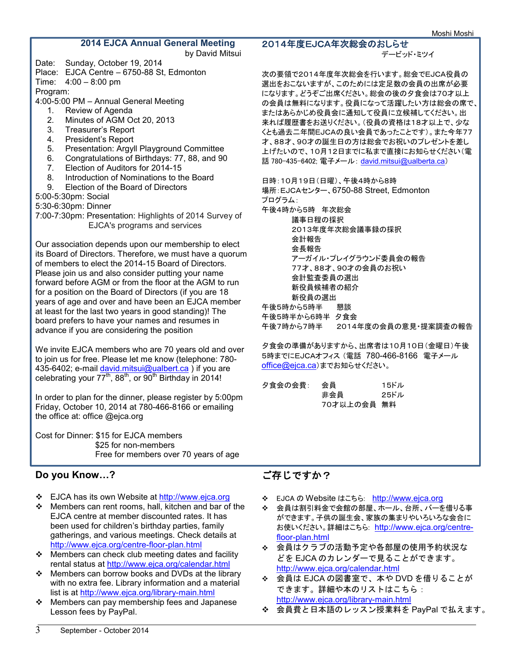## **2014 EJCA Annual General Meeting**

by David Mitsui

- Date: Sunday, October 19, 2014 Place: EJCA Centre – 6750-88 St, Edmonton
- Time: 4:00 8:00 pm

Program:

4:00-5:00 PM – Annual General Meeting

- 1. Review of Agenda
- 2. Minutes of AGM Oct 20, 2013
- 3. Treasurer's Report<br>4. President's Report
- President's Report
- 5. Presentation: Argyll Playground Committee
- 6. Congratulations of Birthdays: 77, 88, and 90
- 7. Election of Auditors for 2014-15
- 8. Introduction of Nominations to the Board
- 9. Election of the Board of Directors
- 5:00-5:30pm: Social
- 5:30-6:30pm: Dinner
- 7:00-7:30pm: Presentation: Highlights of 2014 Survey of EJCA's programs and services

Our association depends upon our membership to elect its Board of Directors. Therefore, we must have a quorum of members to elect the 2014-15 Board of Directors. Please join us and also consider putting your name forward before AGM or from the floor at the AGM to run for a position on the Board of Directors (if you are 18 years of age and over and have been an EJCA member at least for the last two years in good standing)! The board prefers to have your names and resumes in advance if you are considering the position

We invite EJCA members who are 70 years old and over to join us for free. Please let me know (telephone: 780- 435-6402; e-mail <u>david.mitsui@ualbert.ca</u> ) if you are celebrating your  $77^{th}$ , 88<sup>th</sup>, or 90<sup>th</sup> Birthday in 2014!

In order to plan for the dinner, please register by 5:00pm Friday, October 10, 2014 at 780-466-8166 or emailing the office at: office @ejca.org

Cost for Dinner: \$15 for EJCA members \$25 for non-members Free for members over 70 years of age

## **Do you Know…?**

- EJCA has its own Website at http://www.ejca.org
- Members can rent rooms, hall, kitchen and bar of the EJCA centre at member discounted rates. It has been used for children's birthday parties, family gatherings, and various meetings. Check details at http://www.ejca.org/centre-floor-plan.html
- $\div$  Members can check club meeting dates and facility rental status at http://www.ejca.org/calendar.html
- Members can borrow books and DVDs at the library with no extra fee. Library information and a material list is at http://www.ejca.org/library-main.html
- Members can pay membership fees and Japanese Lesson fees by PayPal.

### 2014年度EJCA年次総会のおしらせ

デービッド・ミツイ

次の要領で2014年度年次総会を行います。総会でEJCA役員の 選出をおこないますが、このためには定足数の会員の出席が必要 になります。どうぞご出席ください。総会の後の夕食会は70才以上 の会員は無料になります。役員になって活躍したい方は総会の席で、 またはあらかじめ役員会に通知して役員に立候補してください。出 来れば履歴書をお送りください。(役員の資格は18才以上で、少な くとも過去二年間EJCAの良い会員であったことです)。また今年77 才、88才、90才の誕生日の方は総会でお祝いのプレゼントを差し 上げたいので、10月12日までに私まで直接にお知らせください(電 話 780-435-6402; 電子メール: david.mitsui@ualberta.ca)

日時:10月19日(日曜)、午後4時から8時

場所:EJCAセンター、6750-88 Street, Edmonton プログラム: 午後4時から5時 年次総会 議事日程の採択 2013年度年次総会議事録の採択 会計報告 会長報告 アーガイル・プレイグラウンド委員会の報告 77才、88才、90才の会員のお祝い 会計監査委員の選出 新役員候補者の紹介 新役員の選出 午後5時から5時半 懇談 午後5時半から6時半 夕食会 午後7時から7時半 2014年度の会員の意見・提案調査の報告

夕食会の準備がありますから、出席者は10月10日(金曜日)午後 5時までにEJCAオフィス (電話 780-466-8166 電子メール office@ejca.ca)までお知らせください。

| 夕食会の会費: | 会員          | 15ドル |
|---------|-------------|------|
|         | 非会員         | 25ドル |
|         | 70才以上の会員 無料 |      |

# ご存じですか?

- **※** EJCA の Website はこちら: http://www.ejca.org
- 会員は割引料金で会館の部屋、ホール、台所、バーを借りる事 ができます。子供の誕生会、家族の集まりやいろいろな会合に お使いください。詳細はこちら: http://www.ejca.org/centrefloor-plan.html
- 会員はクラブの活動予定や各部屋の使用予約状況な どを EJCA のカレンダーで見ることができます。 http://www.ejca.org/calendar.html
- 会員は EJCA の図書室で、本や DVD を借りることが できます。詳細や本のリストはこちら: http://www.ejca.org/library-main.html
- 会員費と日本語のレッスン授業料を PayPal で払えます。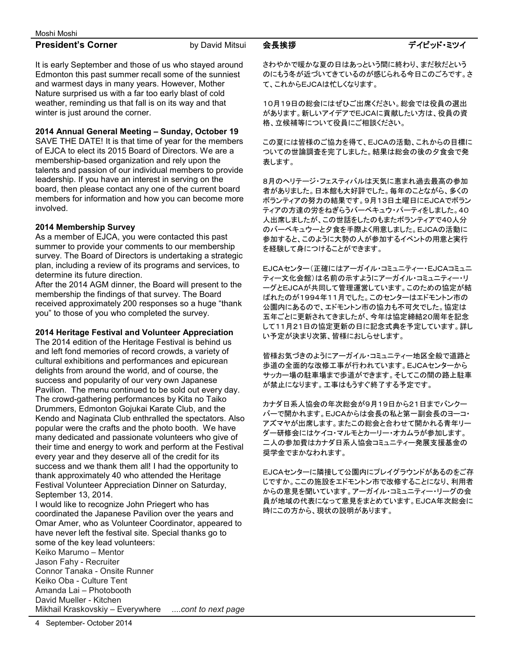4 September- October 2014

### Moshi Moshi

## **President's Corner** by David Mitsui

It is early September and those of us who stayed around Edmonton this past summer recall some of the sunniest and warmest days in many years. However, Mother Nature surprised us with a far too early blast of cold weather, reminding us that fall is on its way and that winter is just around the corner.

## **2014 Annual General Meeting – Sunday, October 19**

SAVE THE DATE! It is that time of year for the members of EJCA to elect its 2015 Board of Directors. We are a membership-based organization and rely upon the talents and passion of our individual members to provide leadership. If you have an interest in serving on the board, then please contact any one of the current board members for information and how you can become more involved.

## **2014 Membership Survey**

As a member of EJCA, you were contacted this past summer to provide your comments to our membership survey. The Board of Directors is undertaking a strategic plan, including a review of its programs and services, to determine its future direction.

After the 2014 AGM dinner, the Board will present to the membership the findings of that survey. The Board received approximately 200 responses so a huge "thank you" to those of you who completed the survey.

## **2014 Heritage Festival and Volunteer Appreciation**

The 2014 edition of the Heritage Festival is behind us and left fond memories of record crowds, a variety of cultural exhibitions and performances and epicurean delights from around the world, and of course, the success and popularity of our very own Japanese Pavilion. The menu continued to be sold out every day. The crowd-gathering performances by Kita no Taiko Drummers, Edmonton Gojukai Karate Club, and the Kendo and Naginata Club enthralled the spectators. Also popular were the crafts and the photo booth. We have many dedicated and passionate volunteers who give of their time and energy to work and perform at the Festival every year and they deserve all of the credit for its success and we thank them all! I had the opportunity to thank approximately 40 who attended the Heritage Festival Volunteer Appreciation Dinner on Saturday, September 13, 2014.

I would like to recognize John Priegert who has coordinated the Japanese Pavilion over the years and Omar Amer, who as Volunteer Coordinator, appeared to have never left the festival site. Special thanks go to some of the key lead volunteers: Keiko Marumo – Mentor Jason Fahy - Recruiter Connor Tanaka - Onsite Runner Keiko Oba - Culture Tent Amanda Lai – Photobooth David Mueller - Kitchen Mikhail Kraskovskiy – Everywhere ....*cont to next page* さわやかで暖かな夏の日はあっという間に終わり、まだ秋だという のにもう冬が近づいてきているのが感じられる今日このごろです。さ て、これからEJCAは忙しくなります。

10月19日の総会にはぜひご出席ください。総会では役員の選出 があります。新しいアイデアでEJCAに貢献したい方は、役員の資 格、立候補等について役員にご相談ください。

この夏には皆様のご協力を得て、EJCAの活動、これからの目標に ついての世論調査を完了しました。結果は総会の後の夕食会で発 表します。

8月のヘリテージ・フェスティバルは天気に恵まれ過去最高の参加 者がありました。日本館も大好評でした。毎年のことながら、多くの ボランティアの努力の結果です。9月13日土曜日にEJCAでボラン ティアの方達の労をねぎらうバーベキュウ・パーティをしました。40 人出席しましたが、この世話をしたのもまたボランティアで40人分 のバーベキュウーと夕食を手際よく用意しました。EJCAの活動に 参加すると、このように大勢の人が参加するイベントの用意と実行 を経験して身につけることができます。

EJCAセンター(正確にはアーガイル・コミュニティー・EJCAコミュニ ティー文化会館)は名前の示すようにアーガイル・コミュニティー・リ ーグとEJCAが共同して管理運営しています。このための協定が結 ばれたのが1994年11月でした。このセンターはエドモントン市の 公園内にあるので、エドモントン市の協力も不可欠でした。協定は 五年ごとに更新されてきましたが、今年は協定締結20周年を記念 して11月21日の協定更新の日に記念式典を予定しています。詳し い予定が決まり次第、皆様におしらせします。

皆様お気づきのようにアーガイル・コミュニティー地区全般で道路と 歩道の全面的な改修工事が行われています。EJCAセンターから サッカー場の駐車場まで歩道ができます。そしてこの間の路上駐車 が禁止になります。工事はもうすぐ終了する予定です。

カナダ日系人協会の年次総会が9月19日から21日までバンクー バーで開かれます。EJCAからは会長の私と第一副会長のヨーコ・ アズマヤが出席します。またこの総会と合わせて開かれる青年リー ダー研修会にはケイコ・マルモとカーリー・オカムラが参加します。 二人の参加費はカナダ日系人協会コミュニティー発展支援基金の 奨学金でまかなわれます。

EJCAセンターに隣接して公園内にプレイグラウンドがあるのをご存 じですか。ここの施設をエドモントン市で改修することになり、利用者 からの意見を聞いています。アーガイル・コミュニティー・リーグの会 員が地域の代表になって意見をまとめています。EJCA年次総会に 時にこの方から、現状の説明があります。

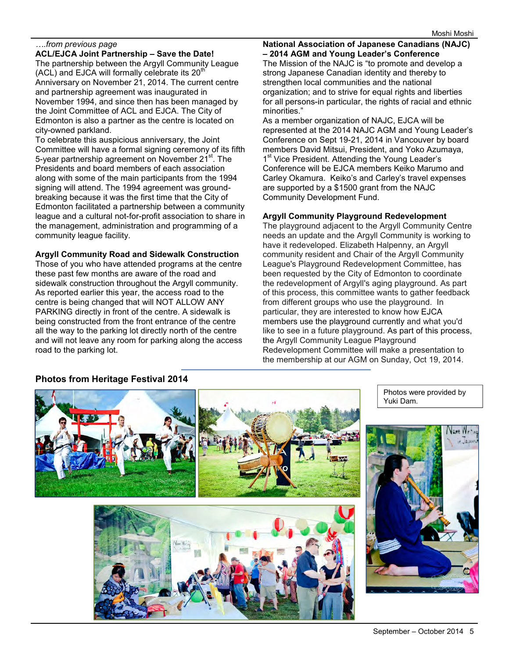### *….from previous page*

**ACL/EJCA Joint Partnership – Save the Date!**  The partnership between the Argyll Community League  $(ACL)$  and EJCA will formally celebrate its  $20<sup>th</sup>$ Anniversary on November 21, 2014. The current centre and partnership agreement was inaugurated in November 1994, and since then has been managed by the Joint Committee of ACL and EJCA. The City of Edmonton is also a partner as the centre is located on city-owned parkland.

To celebrate this auspicious anniversary, the Joint Committee will have a formal signing ceremony of its fifth 5-year partnership agreement on November 21<sup>st</sup>. The Presidents and board members of each association along with some of the main participants from the 1994 signing will attend. The 1994 agreement was groundbreaking because it was the first time that the City of Edmonton facilitated a partnership between a community league and a cultural not-for-profit association to share in the management, administration and programming of a community league facility.

### **Argyll Community Road and Sidewalk Construction**

Those of you who have attended programs at the centre these past few months are aware of the road and sidewalk construction throughout the Argyll community. As reported earlier this year, the access road to the centre is being changed that will NOT ALLOW ANY PARKING directly in front of the centre. A sidewalk is being constructed from the front entrance of the centre all the way to the parking lot directly north of the centre and will not leave any room for parking along the access road to the parking lot.

**National Association of Japanese Canadians (NAJC) – 2014 AGM and Young Leader's Conference**  The Mission of the NAJC is "to promote and develop a strong Japanese Canadian identity and thereby to strengthen local communities and the national organization; and to strive for equal rights and liberties for all persons-in particular, the rights of racial and ethnic

minorities." As a member organization of NAJC, EJCA will be represented at the 2014 NAJC AGM and Young Leader's Conference on Sept 19-21, 2014 in Vancouver by board members David Mitsui, President, and Yoko Azumaya, 1<sup>st</sup> Vice President. Attending the Young Leader's Conference will be EJCA members Keiko Marumo and Carley Okamura. Keiko's and Carley's travel expenses are supported by a \$1500 grant from the NAJC Community Development Fund.

### **Argyll Community Playground Redevelopment**

The playground adjacent to the Argyll Community Centre needs an update and the Argyll Community is working to have it redeveloped. Elizabeth Halpenny, an Argyll community resident and Chair of the Argyll Community League's Playground Redevelopment Committee, has been requested by the City of Edmonton to coordinate the redevelopment of Argyll's aging playground. As part of this process, this committee wants to gather feedback from different groups who use the playground. In particular, they are interested to know how EJCA members use the playground currently and what you'd like to see in a future playground. As part of this process, the Argyll Community League Playground Redevelopment Committee will make a presentation to the membership at our AGM on Sunday, Oct 19, 2014.



Photos were provided by Yuki Dam.

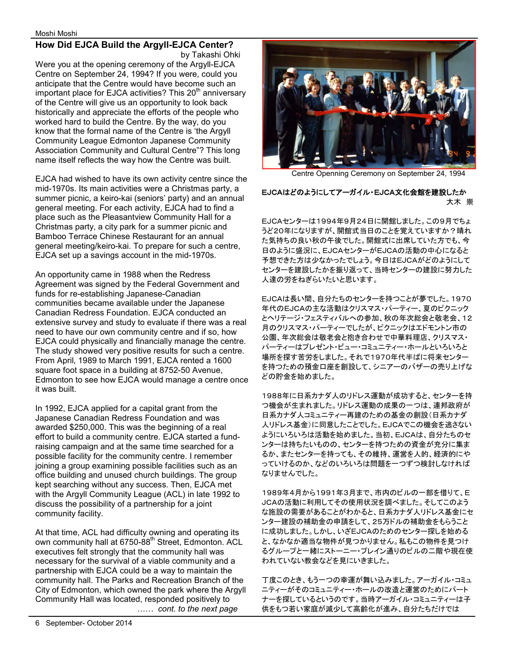### **How Did EJCA Build the Argyll-EJCA Center?**  by Takashi Ohki

Were you at the opening ceremony of the Argyll-EJCA Centre on September 24, 1994? If you were, could you anticipate that the Centre would have become such an important place for EJCA activities? This  $20<sup>th</sup>$  anniversary of the Centre will give us an opportunity to look back historically and appreciate the efforts of the people who worked hard to build the Centre. By the way, do you know that the formal name of the Centre is 'the Argyll Community League Edmonton Japanese Community Association Community and Cultural Centre"? This long name itself reflects the way how the Centre was built.

EJCA had wished to have its own activity centre since the mid-1970s. Its main activities were a Christmas party, a summer picnic, a keiro-kai (seniors' party) and an annual general meeting. For each activity, EJCA had to find a place such as the Pleasantview Community Hall for a Christmas party, a city park for a summer picnic and Bamboo Terrace Chinese Restaurant for an annual general meeting/keiro-kai. To prepare for such a centre, EJCA set up a savings account in the mid-1970s.

An opportunity came in 1988 when the Redress Agreement was signed by the Federal Government and funds for re-establishing Japanese-Canadian communities became available under the Japanese Canadian Redress Foundation. EJCA conducted an extensive survey and study to evaluate if there was a real need to have our own community centre and if so, how EJCA could physically and financially manage the centre. The study showed very positive results for such a centre. From April, 1989 to March 1991, EJCA rented a 1600 square foot space in a building at 8752-50 Avenue, Edmonton to see how EJCA would manage a centre once it was built.

In 1992, EJCA applied for a capital grant from the Japanese Canadian Redress Foundation and was awarded \$250,000. This was the beginning of a real effort to build a community centre. EJCA started a fundraising campaign and at the same time searched for a possible facility for the community centre. I remember joining a group examining possible facilities such as an office building and unused church buildings. The group kept searching without any success. Then, EJCA met with the Argyll Community League (ACL) in late 1992 to discuss the possibility of a partnership for a joint community facility.

At that time, ACL had difficulty owning and operating its own community hall at 6750-88<sup>th</sup> Street, Edmonton. ACL executives felt strongly that the community hall was necessary for the survival of a viable community and a partnership with EJCA could be a way to maintain the community hall. The Parks and Recreation Branch of the City of Edmonton, which owned the park where the Argyll Community Hall was located, responded positively to *…… cont. to the next page* 



Centre Openning Ceremony on September 24, 1994

### EJCAはどのようにしてアーガイル・EJCA文化会館を建設したか 大木 崇

EJCAセンターは1994年9月24日に開館しました。この9月でちょ うど20年になりますが、開館式当日のことを覚えていますか?晴れ た気持ちの良い秋の午後でした。開館式に出席していた方でも、今 日のように盛況に、EJCAセンターがEJCAの活動の中心になると 予想できた方は少なかったでしょう。今日はEJCAがどのようにして センターを建設したかを振り返って、当時センターの建設に努力した 人達の労をねぎらいたいと思います。

EJCAは長い間、自分たちのセンターを持つことが夢でした。1970 年代のEJCAの主な活動はクリスマス・パーティー、夏のピクニック とヘリテージ・フェスティバルへの参加、秋の年次総会と敬老会、12 月のクリスマス・パーティーでしたが、ピクニックはエドモントン市の 公園、年次総会は敬老会と抱き合わせで中華料理店、クリスマス・ パーティーはプレゼント・ビュー・コミュニティー・ホールといろいろと 場所を探す苦労をしました。それで1970年代半ばに将来センター を持つための預金口座を創設して、シニアーのバザーの売り上げな どの貯金を始めました。

1988年に日系カナダ人のリドレス運動が成功すると、センターを持 つ機会が生まれました。リドレス運動の成果の一つは、連邦政府が 日系カナダ人コミュニティー再建のための基金の創設(日系カナダ 人リドレス基金)に同意したことでした。EJCAでこの機会を逃さない ようにいろいろは活動を始めました。当初、EJCAは、自分たちのセ ンターは持ちたいものの、センターを持つための資金が充分に集ま るか、またセンターを持っても、その維持、運営を人的、経済的にや っていけるのか、などのいろいろは問題を一つずつ検討しなければ なりませんでした。

1989年4月から1991年3月まで、市内のビルの一部を借りて、E JCAの活動に利用してその使用状況を調べました。そしてこのよう な施設の需要があることがわかると、日系カナダ人リドレス基金にセ ンター建設の補助金の申請をして、25万ドルの補助金をもらうこと に成功しました。しかし、いざEJCAのためのセンター探しを始める と、なかなか適当な物件が見つかりません。私もこの物件を見つけ るグループと一緒にストーニー・プレイン通りのビルの二階や現在使 われていない教会などを見にいきました。

丁度このとき、もう一つの幸運が舞い込みました。アーガイル・コミュ ニティーがそのコミュニティー・ホールの改造と運営のためにパート ナーを探しているというのです。当時アーガイル・コミュニティーは子 供をもつ若い家庭が減少して高齢化が進み、自分たちだけでは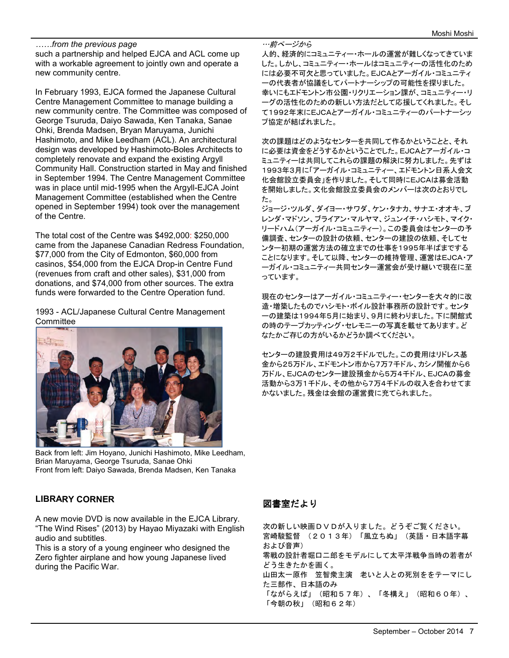### *……from the previous page*

such a partnership and helped EJCA and ACL come up with a workable agreement to jointly own and operate a new community centre.

In February 1993, EJCA formed the Japanese Cultural Centre Management Committee to manage building a new community centre. The Committee was composed of George Tsuruda, Daiyo Sawada, Ken Tanaka, Sanae Ohki, Brenda Madsen, Bryan Maruyama, Junichi Hashimoto, and Mike Leedham (ACL). An architectural design was developed by Hashimoto-Boles Architects to completely renovate and expand the existing Argyll Community Hall. Construction started in May and finished in September 1994. The Centre Management Committee was in place until mid-1995 when the Argyll-EJCA Joint Management Committee (established when the Centre opened in September 1994) took over the management of the Centre.

The total cost of the Centre was \$492,000: \$250,000 came from the Japanese Canadian Redress Foundation, \$77,000 from the City of Edmonton, \$60,000 from casinos, \$54,000 from the EJCA Drop-in Centre Fund (revenues from craft and other sales), \$31,000 from donations, and \$74,000 from other sources. The extra funds were forwarded to the Centre Operation fund.

1993 - ACL/Japanese Cultural Centre Management **Committee** 



Back from left: Jim Hoyano, Junichi Hashimoto, Mike Leedham, Brian Maruyama, George Tsuruda, Sanae Ohki Front from left: Daiyo Sawada, Brenda Madsen, Ken Tanaka

### …前ぺージから 人的、経済的にコミュニティー・ホールの運営が難しくなってきていま した。しかし、コミュニティー・ホールはコミュニティーの活性化のため には必要不可欠と思っていました。EJCAとアーガイル・コミュニティ ーの代表者が協議をしてパートナーシップの可能性を探りました。 幸いにもエドモントン市公園・リクリエーション課が、コミュニティー・リ ーグの活性化のための新しい方法だとして応援してくれました。そし て1992年末にEJCAとアーガイル・コミュニティーのパートナーシッ

プ協定が結ばれました。

次の課題はどのようなセンターを共同して作るかということと、それ に必要は資金をどうするかということでした。EJCAとアーガイル・コ ミュニティーは共同してこれらの課題の解決に努力しました。先ずは 1993年3月に「アーガイル・コミュニティー、エドモントン日系人会文 化会館設立委員会」を作りました。そして同時にEJCAは募金活動 を開始しました。文化会館設立委員会のメンバーは次のとおりでし た。

ジョージ・ツルダ、ダイヨー・サワダ、ケン・タナカ、サナエ・オオキ、ブ レンダ・マドソン、ブライアン・マルヤマ、ジュンイチ・ハシモト、マイク・ リードハム(アーガイル・コミュニティー)。この委員会はセンターの予 備調査、センターの設計の依頼、センターの建設の依頼、そしてセ ンター初期の運営方法の確立までの仕事を1995年半ばまでする ことになります。そして以降、センターの維持管理、運営はEJCA・ア ーガイル・コミュニティー共同センター運営会が受け継いで現在に至 っています。

現在のセンターはアーガイル・コミュニティー・センターを大々的に改 造・増築したものでハシモト・ボイル設計事務所の設計です。センタ ーの建築は1994年5月に始まり、9月に終わりました。下に開館式 の時のテープカッティング・セレモニーの写真を載せてあります。ど なたかご存じの方がいるかどうか調べてください。

センターの建設費用は49万2千ドルでした。この費用はリドレス基 金から25万ドル、エドモントン市から7万7千ドル、カシノ開催から6 万ドル、EJCAのセンター建設預金から5万4千ドル、EJCAの募金 活動から3万1千ドル、その他から7万4千ドルの収入を合わせてま かないました。残金は会館の運営費に充てられました。

### **LIBRARY CORNER**

A new movie DVD is now available in the EJCA Library. "The Wind Rises" (2013) by Hayao Miyazaki with English audio and subtitles.

This is a story of a young engineer who designed the Zero fighter airplane and how young Japanese lived during the Pacific War.

## 図書室だより

次の新しい映画DVDが入りました。どうぞご覧ください。 宮崎駿監督 (2013年)「風立ちぬ」(英語・日本語字幕 および音声) 零戦の設計者堀口二郎をモデルにして太平洋戦争当時の若者が どう生きたかを画く。 山田太一原作 笠智衆主演 老いと人との死別ををテーマにし た三部作、日本語のみ 「ながらえば」(昭和57年)、「冬構え」(昭和60年)、 「今朝の秋」(昭和62年)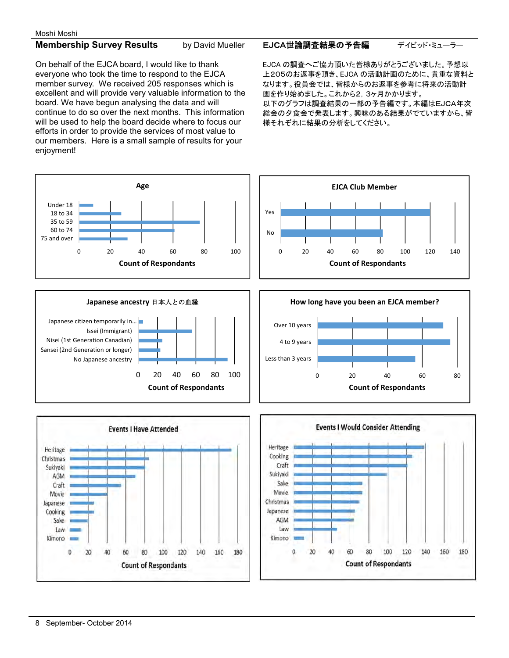## **Membership Survey Results** by David Mueller

On behalf of the EJCA board, I would like to thank everyone who took the time to respond to the EJCA member survey. We received 205 responses which is excellent and will provide very valuable information to the board. We have begun analysing the data and will continue to do so over the next months. This information will be used to help the board decide where to focus our efforts in order to provide the services of most value to our members. Here is a small sample of results for your enjoyment!

EJCA世論調査結果の予告編 デイビッド・ミューラー

EJCA の調査へご協力頂いた皆様ありがとうございました。予想以 上205のお返事を頂き、EJCA の活動計画のために、貴重な資料と なります。役員会では、皆様からのお返事を参考に将来の活動計 画を作り始めました。これから2,3ヶ月かかります。 以下のグラフは調査結果の一部の予告編です。本編はEJCA年次 総会の夕食会で発表します。興味のある結果がでていますから、皆 様それぞれに結果の分析をしてください。



Kimono L

0

40

60

20

80

**Count of Respondants** 

100

120

140

160

180

120

140

160

180

Kimono

Û

20

40

60

80

**Count of Respondants** 

100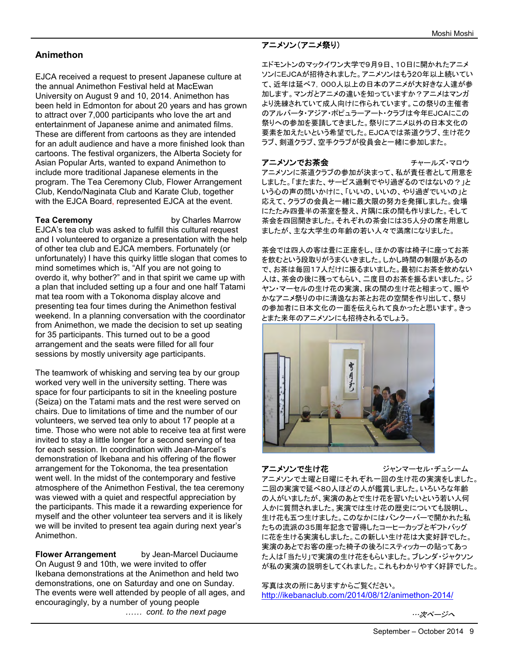## **Animethon**

EJCA received a request to present Japanese culture at the annual Animethon Festival held at MacEwan University on August 9 and 10, 2014. Animethon has been held in Edmonton for about 20 years and has grown to attract over 7,000 participants who love the art and entertainment of Japanese anime and animated films. These are different from cartoons as they are intended for an adult audience and have a more finished look than cartoons. The festival organizers, the Alberta Society for Asian Popular Arts, wanted to expand Animethon to include more traditional Japanese elements in the program. The Tea Ceremony Club, Flower Arrangement Club, Kendo/Naginata Club and Karate Club, together with the EJCA Board, represented EJCA at the event.

**Tea Ceremony** by Charles Marrow EJCA's tea club was asked to fulfill this cultural request and I volunteered to organize a presentation with the help of other tea club and EJCA members. Fortunately (or unfortunately) I have this quirky little slogan that comes to mind sometimes which is, "AIf you are not going to overdo it, why bother?" and in that spirit we came up with a plan that included setting up a four and one half Tatami mat tea room with a Tokonoma display alcove and presenting tea four times during the Animethon festival weekend. In a planning conversation with the coordinator from Animethon, we made the decision to set up seating for 35 participants. This turned out to be a good arrangement and the seats were filled for all four sessions by mostly university age participants.

The teamwork of whisking and serving tea by our group worked very well in the university setting. There was space for four participants to sit in the kneeling posture (Seiza) on the Tatami mats and the rest were served on chairs. Due to limitations of time and the number of our volunteers, we served tea only to about 17 people at a time. Those who were not able to receive tea at first were invited to stay a little longer for a second serving of tea for each session. In coordination with Jean-Marcel's demonstration of Ikebana and his offering of the flower arrangement for the Tokonoma, the tea presentation went well. In the midst of the contemporary and festive atmosphere of the Animethon Festival, the tea ceremony was viewed with a quiet and respectful appreciation by the participants. This made it a rewarding experience for myself and the other volunteer tea servers and it is likely we will be invited to present tea again during next year's Animethon.

**Flower Arrangement** by Jean-Marcel Duciaume On August 9 and 10th, we were invited to offer Ikebana demonstrations at the Animethon and held two demonstrations, one on Saturday and one on Sunday. The events were well attended by people of all ages, and encouragingly, by a number of young people *…… cont. to the next page*

## アニメソン(アニメ祭り)

エドモントンのマックイワン大学で9月9日、10日に開かれたアニメ ソンにEJCAが招待されました。アニメソンはもう20年以上続いてい て、近年は延べ7,000人以上の日本のアニメが大好きな人達が参 加します。マンガとアニメの違いを知っていますか?アニメはマンガ より洗練されていて成人向けに作られています。この祭りの主催者 のアルバータ・アジア・ポピュラーアート・クラブは今年EJCAにこの 祭りへの参加を要請してきました。祭りにアニメ以外の日本文化の 要素を加えたいという希望でした。EJCAでは茶道クラブ、生け花ク ラブ、剣道クラブ、空手クラブが役員会と一緒に参加しまた。

アニメソンでお茶会 フェンス チャールズ・マロウ アニメソンに茶道クラブの参加が決まって、私が責任者として用意を しました。「またまた、サービス過剰でやり過ぎるのではないの?」と いう心の声の問いかけに、「いいの、いいの、やり過ぎでいいの」と 応えて、クラブの会員と一緒に最大限の努力を発揮しました。会場 にたたみ四畳半の茶室を整え、片隅に床の間も作りました。そして 茶会を四回開きました。それぞれの茶会には35人分の席を用意し ましたが、主な大学生の年齢の若い人々で満席になりました。

茶会では四人の客は畳に正座をし、ほかの客は椅子に座ってお茶 を飲むという段取りがうまくいきました。しかし時間の制限があるの で、お茶は毎回17人だけに振るまいました。最初にお茶を飲めない 人は、茶会の後に残ってもらい、二度目のお茶を振るまいました。ジ ヤン・マーセルの生け花の実演、床の間の生け花と相まって、賑や かなアニメ祭りの中に清逸なお茶とお花の空間を作り出して、祭り の参加者に日本文化の一面を伝えられて良かったと思います。きっ とまた来年のアニメソンにも招待されるでしょう。



アニメソンで生け花 ジャンマーセル・デュシーム アニメソンで土曜と日曜にそれぞれ一回の生け花の実演をしました。 二回の実演で延べ80人ほどの人が鑑賞しました。いろいろな年齢 の人がいましたが、実演のあとで生け花を習いたいという若い人何 人かに質問されました。実演では生け花の歴史についても説明し、 生け花も五つ生けました。このなかにはバンクーバーで開かれた私 たちの流派の35周年記念で習得したコーヒーカップとギフトバッグ に花を生ける実演もしました。この新しい生け花は大変好評でした。 実演のあとでお客の座った椅子の後ろにスティッカーの貼ってあっ た人は「当たり」で実演の生け花をもらいました。ブレンダ・ジャクソン が私の実演の説明をしてくれました。これもわかりやすく好評でした。

写真は次の所にありますからご覧ください。 http://ikebanaclub.com/2014/08/12/animethon-2014/

…次ページへ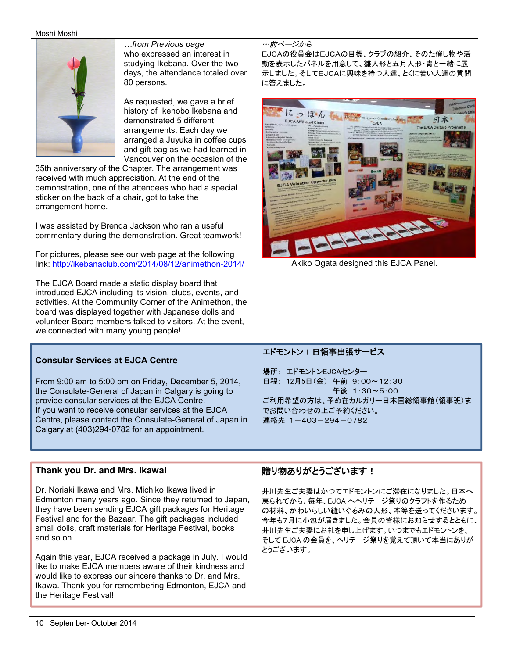### Moshi Moshi



*…from Previous page*  who expressed an interest in studying Ikebana. Over the two days, the attendance totaled over 80 persons.

As requested, we gave a brief history of Ikenobo Ikebana and demonstrated 5 different arrangements. Each day we arranged a Juyuka in coffee cups and gift bag as we had learned in Vancouver on the occasion of the

35th anniversary of the Chapter. The arrangement was received with much appreciation. At the end of the demonstration, one of the attendees who had a special sticker on the back of a chair, got to take the arrangement home.

I was assisted by Brenda Jackson who ran a useful commentary during the demonstration. Great teamwork!

For pictures, please see our web page at the following link: http://ikebanaclub.com/2014/08/12/animethon-2014/

The EJCA Board made a static display board that introduced EJCA including its vision, clubs, events, and activities. At the Community Corner of the Animethon, the board was displayed together with Japanese dolls and volunteer Board members talked to visitors. At the event, we connected with many young people!

### **Consular Services at EJCA Centre**

From 9:00 am to 5:00 pm on Friday, December 5, 2014, the Consulate-General of Japan in Calgary is going to provide consular services at the EJCA Centre. If you want to receive consular services at the EJCA Centre, please contact the Consulate-General of Japan in Calgary at (403)294-0782 for an appointment.

### …前ぺージから

EJCAの役員会はEJCAの目標、クラブの紹介、そのた催し物や活 動を表示したパネルを用意して、雛人形と五月人形・冑と一緒に展 示しました。そしてEJCAに興味を持つ人達、とくに若い人達の質問 に答えました。



Akiko Ogata designed this EJCA Panel.

### エドモントン 1 日領事出張サービス

 $\overline{a}$ 

場所: エドモントンEJCAセンター 日程: 12月5日(金) 午前 9:00~12:30 午後 1:30~5:00 ご利用希望の方は、予め在カルガリー日本国総領事館(領事班)ま でお問い合わせの上ご予約ください。 連絡先:1-403-294-0782

### **Thank you Dr. and Mrs. Ikawa!**

j

Dr. Noriaki Ikawa and Mrs. Michiko Ikawa lived in Edmonton many years ago. Since they returned to Japan, they have been sending EJCA gift packages for Heritage Festival and for the Bazaar. The gift packages included small dolls, craft materials for Heritage Festival, books and so on.

Again this year, EJCA received a package in July. I would like to make EJCA members aware of their kindness and would like to express our sincere thanks to Dr. and Mrs. Ikawa. Thank you for remembering Edmonton, EJCA and the Heritage Festival!

## 贈り物ありがとうございます!

井川先生ご夫妻はかつてエドモントンにご滞在になりました。日本へ 戻られてから、毎年、EJCA へヘリテージ祭りのクラフトを作るため の材料、かわいらしい縫いぐるみの人形、本等を送ってくださいます。 今年も7月に小包が届きました。会員の皆様にお知らせするとともに、 井川先生ご夫妻にお礼を申し上げます。いつまでもエドモントンを、 そして EJCA の会員を、ヘリテージ祭りを覚えて頂いて本当にありが とうございます。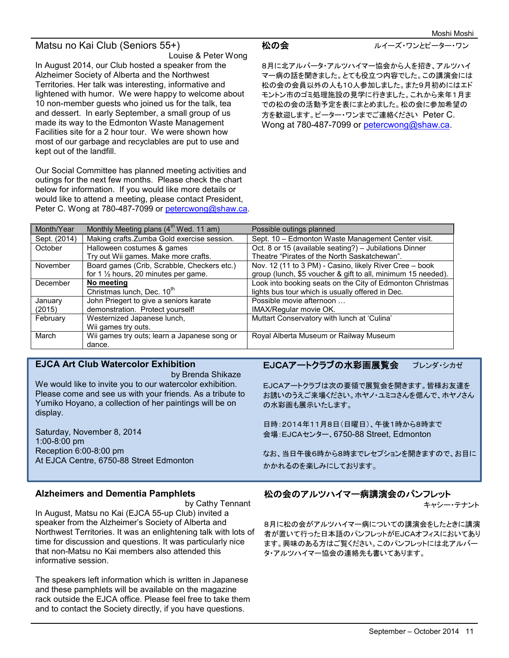## Matsu no Kai Club (Seniors 55+)

Louise & Peter Wong

In August 2014, our Club hosted a speaker from the Alzheimer Society of Alberta and the Northwest Territories. Her talk was interesting, informative and lightened with humor. We were happy to welcome about 10 non-member guests who joined us for the talk, tea and dessert. In early September, a small group of us made its way to the Edmonton Waste Management Facilities site for a 2 hour tour. We were shown how most of our garbage and recyclables are put to use and kept out of the landfill.

Our Social Committee has planned meeting activities and outings for the next few months. Please check the chart below for information. If you would like more details or would like to attend a meeting, please contact President, Peter C. Wong at 780-487-7099 or petercwong@shaw.ca.

松の会 ファイン ルイーズ・ワンとピーター・ワン

8月に北アルバータ・アルツハイマー協会から人を招き、アルツハイ マー病の話を聞きました。とても役立つ内容でした。この講演会には 松の会の会員以外の人も10人参加しました。また9月初めにはエド モントン市のゴミ処理施設の見学に行きました。これから来年1月ま での松の会の活動予定を表にまとめました。松の会に参加希望の 方を歓迎します。ピーター・ワンまでご連絡ください Peter C. Wong at 780-487-7099 or petercwong@shaw.ca.

| Month/Year   | Monthly Meeting plans $(4th$ Wed. 11 am)        | Possible outings planned                                     |
|--------------|-------------------------------------------------|--------------------------------------------------------------|
| Sept. (2014) | Making crafts. Zumba Gold exercise session.     | Sept. 10 - Edmonton Waste Management Center visit.           |
| October      | Halloween costumes & games                      | Oct. 8 or 15 (available seating?) - Jubilations Dinner       |
|              | Try out Wii games. Make more crafts.            | Theatre "Pirates of the North Saskatchewan".                 |
| November     | Board games (Crib, Scrabble, Checkers etc.)     | Nov. 12 (11 to 3 PM) - Casino, likely River Cree - book      |
|              | for 1 $\frac{1}{2}$ hours, 20 minutes per game. | group (lunch, \$5 voucher & gift to all, minimum 15 needed). |
| December     | No meeting                                      | Look into booking seats on the City of Edmonton Christmas    |
|              | Christmas lunch, Dec. 10 <sup>th</sup>          | lights bus tour which is usually offered in Dec.             |
| January      | John Priegert to give a seniors karate          | Possible movie afternoon                                     |
| (2015)       | demonstration. Protect yourself!                | IMAX/Regular movie OK.                                       |
| February     | Westernized Japanese lunch,                     | Muttart Conservatory with lunch at 'Culina'                  |
|              | Wii games try outs.                             |                                                              |
| March        | Wii games try outs; learn a Japanese song or    | Royal Alberta Museum or Railway Museum                       |
|              | dance.                                          |                                                              |

### **EJCA Art Club Watercolor Exhibition**

 by Brenda Shikaze We would like to invite you to our watercolor exhibition. Please come and see us with your friends. As a tribute to Yumiko Hoyano, a collection of her paintings will be on display.

Saturday, November 8, 2014 1:00-8:00 pm Reception 6:00-8:00 pm At EJCA Centre, 6750-88 Street Edmonton

### **Alzheimers and Dementia Pamphlets**

 by Cathy Tennant In August, Matsu no Kai (EJCA 55-up Club) invited a speaker from the Alzheimer's Society of Alberta and Northwest Territories. It was an enlightening talk with lots of time for discussion and questions. It was particularly nice that non-Matsu no Kai members also attended this informative session.

The speakers left information which is written in Japanese and these pamphlets will be available on the magazine rack outside the EJCA office. Please feel free to take them and to contact the Society directly, if you have questions.

## EJCAアートクラブの水彩画展覧会 ブレンダ・シカゼ

EJCAアートクラブは次の要領で展覧会を開きます。皆様お友達を お誘いのうえご来場ください。ホヤノ・ユミコさんを偲んで、ホヤノさん の水彩画も展示いたします。

日時:2014年11月8日(日曜日)、午後1時から8時まで 会場:EJCAセンター、6750-88 Street, Edmonton

なお、当日午後6時から8時までレセプションを開きますので、お目に かかれるのを楽しみにしております。

## 松の会のアルツハイマー病講演会のパンフレット

キャシー・テナント

8月に松の会がアルツハイマー病についての講演会をしたときに講演 者が置いて行った日本語のパンフレットがEJCAオフィスにおいてあり ます。興味のある方はご覧ください。このパンフレットには北アルバー タ・アルツハイマー協会の連絡先も書いてあります。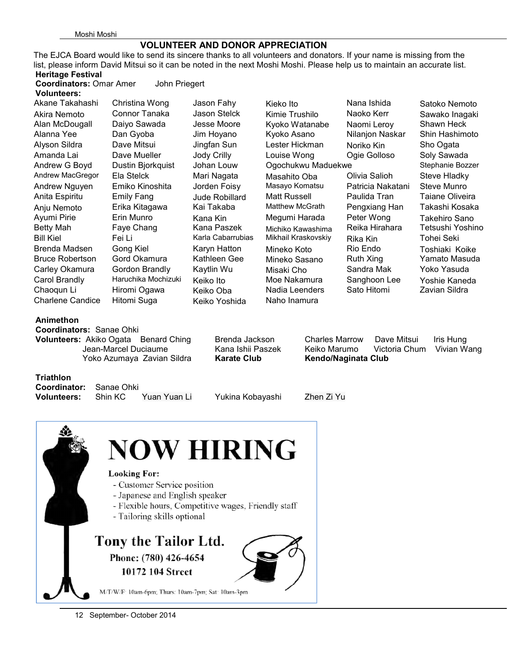## **VOLUNTEER AND DONOR APPRECIATION**

The EJCA Board would like to send its sincere thanks to all volunteers and donators. If your name is missing from the list, please inform David Mitsui so it can be noted in the next Moshi Moshi. Please help us to maintain an accurate list. **Heritage Festival Coordinators:** Omar Amer John Priegert

### **Volunteers:**  Akane Takahashi Christina Wong Jason Fahy Kieko Ito Nana Ishida Satoko Nemoto Akira Nemoto Connor Tanaka Jason Stelck Kimie Trushilo Naoko Kerr Sawako Inagaki Alan McDougall Daiyo Sawada Jesse Moore Kyoko Watanabe Naomi Leroy Shawn Heck Alanna Yee Dan Gyoba Jim Hoyano Kyoko Asano Nilanjon Naskar Shin Hashimoto Alyson Sildra Dave Mitsui Jingfan Sun Lester Hickman Noriko Kin Sho Ogata Amanda Lai Cave Mueller Louise Wong Douise Wong Douise Golloso Soly Sawada Andrew G Boyd Dustin Bjorkquist Johan Louw Ogochukwu Maduekwe Stephanie Bozzer Andrew MacGregor Ela Stelck Mari Nagata Masahito Oba Olivia Salioh Steve Hladky<br>Andrew Nauven Emiko Kinoshita Jorden Foisy Masayo Komatsu Patricia Nakatani Steve Munro Andrew Nguyen Emiko Kinoshita Jorden Foisy Masayo Komatsu Patricia Nakatani Steve Munro Anita Espiritu Emily Fang Jude Robillard Matt Russell Paulida Tran Taiane Oliveira Anju Nemoto Erika Kitagawa Kai Takaba Matthew McGrath Pengxiang Han Takashi Kosaka Ayumi Pirie Erin Munro Kana Kin Megumi Harada Peter Wong Takehiro Sano Betty Mah Faye Chang Kana Paszek Michiko Kawashima Reika Hirahara Tetsushi Yoshino Bill Kiel Fei Li Karla Cabarrubias Mikhail Kraskovskiy Rika Kin Tohei Seki Brenda Madsen Gong Kiel Karyn Hatton Mineko Koto Rio Endo Toshiaki Koike Bruce Robertson Gord Okamura Kathleen Gee Mineko Sasano Ruth Xing Yamato Masuda Carley Okamura Gordon Brandly Kaytlin Wu Misaki Cho Sandra Mak Yoko Yasuda Carol Brandly Haruchika Mochizuki Keiko Ito Moe Nakamura Sanghoon Lee Yoshie Kaneda Chaoqun Li Hiromi Ogawa Keiko Oba Nadia Leenders Sato Hitomi Zavian Sildra

Charlene Candice Hitomi Suga Keiko Yoshida Naho Inamura

## **Animethon**

**Coordinators:** Sanae Ohki Yoko Azumaya Zavian Sildra **Karate Club Kendo/Naginata Club**

**Volunteers:** Akiko OgataBenard Ching Brenda JacksonCharles Marrow Dave Mitsui Iris Hung Jean-Marcel Duciaume Kana Ishii Paszek Keiko Marumo Victoria Chum Vivian Wang

**Triathlon** 

**Coordinator:** Sanae Ohki

Yukina Kobayashi Zhen Zi Yu



12 September- October 2014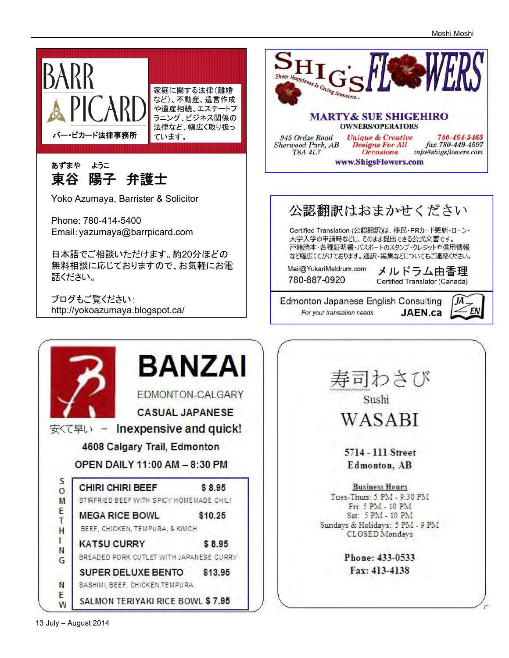

**SALMON TERIYAKI RICE BOWL \$7.95** 

E

W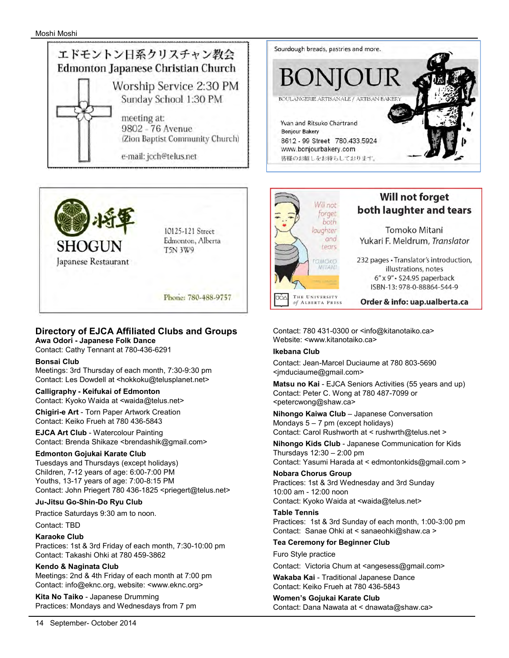



### **Directory of EJCA Affiliated Clubs and Groups Awa Odori - Japanese Folk Dance**

Contact: Cathy Tennant at 780-436-6291

### **Bonsai Club**

Meetings: 3rd Thursday of each month, 7:30-9:30 pm Contact: Les Dowdell at <hokkoku@telusplanet.net>

**Calligraphy - Keifukai of Edmonton**  Contact: Kyoko Waida at <waida@telus.net>

**Chigiri-e Art** - Torn Paper Artwork Creation Contact: Keiko Frueh at 780 436-5843

**EJCA Art Club** - Watercolour Painting Contact: Brenda Shikaze <brendashik@gmail.com>

### **Edmonton Gojukai Karate Club**

Tuesdays and Thursdays (except holidays) Children, 7-12 years of age: 6:00-7:00 PM Youths, 13-17 years of age: 7:00-8:15 PM Contact: John Priegert 780 436-1825 <priegert@telus.net>

### **Ju-Jitsu Go-Shin-Do Ryu Club**

Practice Saturdays 9:30 am to noon.

Contact: TBD

### **Karaoke Club**  Practices: 1st & 3rd Friday of each month, 7:30-10:00 pm Contact: Takashi Ohki at 780 459-3862

**Kendo & Naginata Club**  Meetings: 2nd & 4th Friday of each month at 7:00 pm Contact: info@eknc.org, website: <www.eknc.org>

**Kita No Taiko** - Japanese Drumming Practices: Mondays and Wednesdays from 7 pm





# **Will not forget** both laughter and tears

Tomoko Mitani Yukari F. Meldrum, Translator

232 pages · Translator's introduction, illustrations, notes 6" x 9" · \$24.95 paperback ISBN-13: 978-0-88864-544-9

Order & info: uap.ualberta.ca

Contact: 780 431-0300 or <info@kitanotaiko.ca> Website: <www.kitanotaiko.ca>

### **Ikebana Club**

Contact: Jean-Marcel Duciaume at 780 803-5690 <jmduciaume@gmail.com>

**Matsu no Kai** - EJCA Seniors Activities (55 years and up) Contact: Peter C. Wong at 780 487-7099 or <petercwong@shaw.ca>

**Nihongo Kaiwa Club** – Japanese Conversation Mondays 5 – 7 pm (except holidays) Contact: Carol Rushworth at < rushwrth@telus.net >

**Nihongo Kids Club** - Japanese Communication for Kids Thursdays 12:30 – 2:00 pm

Contact: Yasumi Harada at < edmontonkids@gmail.com >

### **Nobara Chorus Group**

Practices: 1st & 3rd Wednesday and 3rd Sunday 10:00 am - 12:00 noon Contact: Kyoko Waida at <waida@telus.net>

### **Table Tennis**

Practices: 1st & 3rd Sunday of each month, 1:00-3:00 pm Contact: Sanae Ohki at < sanaeohki@shaw.ca >

### **Tea Ceremony for Beginner Club**

Furo Style practice

Contact: Victoria Chum at <angesess@gmail.com>

**Wakaba Kai** - Traditional Japanese Dance Contact: Keiko Frueh at 780 436-5843

### **Women's Gojukai Karate Club**  Contact: Dana Nawata at < dnawata@shaw.ca>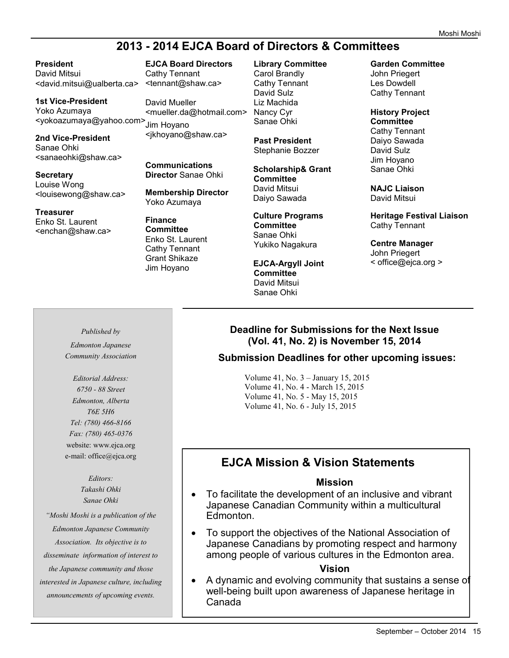# **2013 - 2014 EJCA Board of Directors & Committees**

**President**  David Mitsui <david.mitsui@ualberta.ca> <tennant@shaw.ca>

**1st Vice-President**  Yoko Azumaya <yokoazumaya@yahoo.com> Jim Hoyano

**2nd Vice-President**  Sanae Ohki <sanaeohki@shaw.ca>

**Secretary**  Louise Wong <louisewong@shaw.ca>

**Treasurer** Enko St. Laurent <enchan@shaw.ca> **EJCA Board Directors**  Cathy Tennant

David Mueller <mueller.da@hotmail.com> <jkhoyano@shaw.ca>

**Communications Director** Sanae Ohki

**Membership Director**  Yoko Azumaya

**Finance Committee**  Enko St. Laurent Cathy Tennant Grant Shikaze Jim Hoyano

**Library Committee** Carol Brandly Cathy Tennant David Sulz Liz Machida Nancy Cyr Sanae Ohki

**Past President**  Stephanie Bozzer

**Scholarship& Grant Committee** David Mitsui Daiyo Sawada

**Culture Programs Committee**  Sanae Ohki Yukiko Nagakura

**EJCA-Argyll Joint Committee**  David Mitsui Sanae Ohki

**Garden Committee** 

John Priegert Les Dowdell Cathy Tennant

**History Project Committee**  Cathy Tennant Daiyo Sawada David Sulz Jim Hoyano Sanae Ohki

**NAJC Liaison** David Mitsui

**Heritage Festival Liaison** Cathy Tennant

**Centre Manager** John Priegert < office@ejca.org >

## *Published by*

*Edmonton Japanese Community Association* 

*Editorial Address: 6750 - 88 Street Edmonton, Alberta T6E 5H6 Tel: (780) 466-8166 Fax: (780) 465-0376*  website: www.ejca.org e-mail: office@ejca.org

> *Editors: Takashi Ohki Sanae Ohki*

*"Moshi Moshi is a publication of the Edmonton Japanese Community Association. Its objective is to disseminate information of interest to the Japanese community and those interested in Japanese culture, including announcements of upcoming events.* 

## **Deadline for Submissions for the Next Issue (Vol. 41, No. 2) is November 15, 2014**

## **Submission Deadlines for other upcoming issues:**

Volume 41, No. 3 – January 15, 2015 Volume 41, No. 4 - March 15, 2015 Volume 41, No. 5 - May 15, 2015 Volume 41, No. 6 - July 15, 2015

# **EJCA Mission & Vision Statements**

## **Mission**

- To facilitate the development of an inclusive and vibrant Japanese Canadian Community within a multicultural Edmonton.
- To support the objectives of the National Association of Japanese Canadians by promoting respect and harmony among people of various cultures in the Edmonton area.

## **Vision**

 A dynamic and evolving community that sustains a sense of well-being built upon awareness of Japanese heritage in Canada